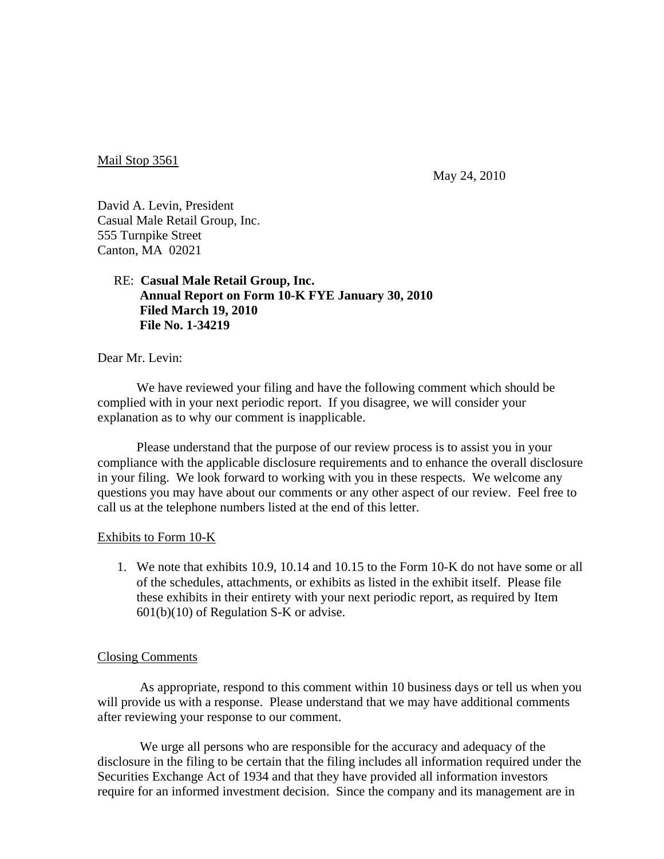Mail Stop 3561

May 24, 2010

David A. Levin, President Casual Male Retail Group, Inc. 555 Turnpike Street Canton, MA 02021

## RE: **Casual Male Retail Group, Inc. Annual Report on Form 10-K FYE January 30, 2010 Filed March 19, 2010 File No. 1-34219**

Dear Mr. Levin:

We have reviewed your filing and have the following comment which should be complied with in your next periodic report. If you disagree, we will consider your explanation as to why our comment is inapplicable.

 Please understand that the purpose of our review process is to assist you in your compliance with the applicable disclosure requirements and to enhance the overall disclosure in your filing. We look forward to working with you in these respects. We welcome any questions you may have about our comments or any other aspect of our review. Feel free to call us at the telephone numbers listed at the end of this letter.

## Exhibits to Form 10-K

1. We note that exhibits 10.9, 10.14 and 10.15 to the Form 10-K do not have some or all of the schedules, attachments, or exhibits as listed in the exhibit itself. Please file these exhibits in their entirety with your next periodic report, as required by Item 601(b)(10) of Regulation S-K or advise.

## Closing Comments

 As appropriate, respond to this comment within 10 business days or tell us when you will provide us with a response. Please understand that we may have additional comments after reviewing your response to our comment.

 We urge all persons who are responsible for the accuracy and adequacy of the disclosure in the filing to be certain that the filing includes all information required under the Securities Exchange Act of 1934 and that they have provided all information investors require for an informed investment decision. Since the company and its management are in